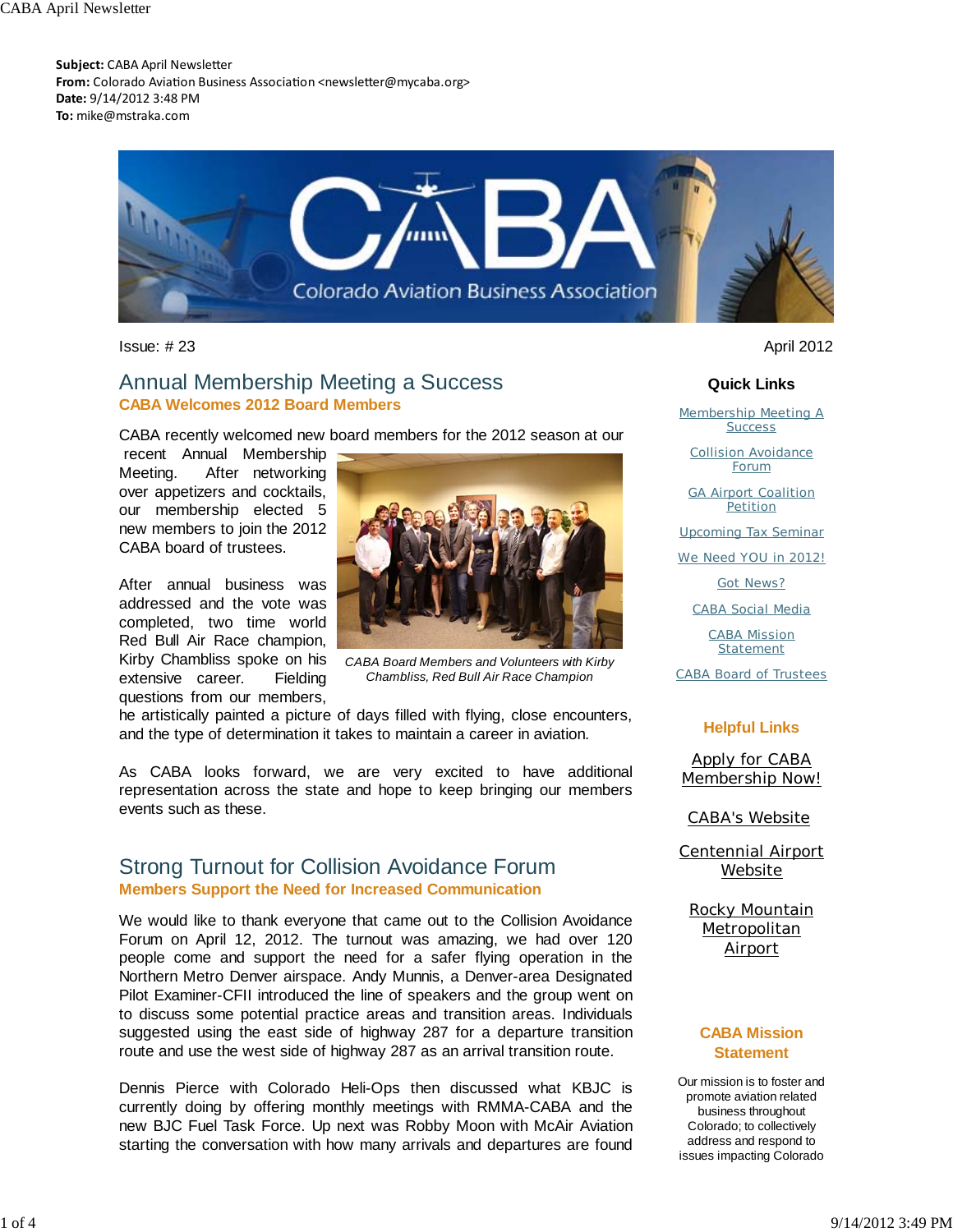**Subject:** CABA April Newsletter From: Colorado Aviation Business Association <newsletter@mycaba.org> **Date:** 9/14/2012 3:48 PM **To:** mike@mstraka.com



Issue: # 23 April 2012

## Annual Membership Meeting a Success **CABA Welcomes 2012 Board Members**

CABA recently welcomed new board members for the 2012 season at our

 recent Annual Membership Meeting. After networking over appetizers and cocktails, our membership elected 5 new members to join the 2012 CABA board of trustees.

After annual business was addressed and the vote was completed, two time world Red Bull Air Race champion, Kirby Chambliss spoke on his extensive career. Fielding questions from our members,



*CABA Board Members and Volunteers with Kirby Chambliss, Red Bull Air Race Champion*

he artistically painted a picture of days filled with flying, close encounters, and the type of determination it takes to maintain a career in aviation.

As CABA looks forward, we are very excited to have additional representation across the state and hope to keep bringing our members events such as these.

## Strong Turnout for Collision Avoidance Forum **Members Support the Need for Increased Communication**

We would like to thank everyone that came out to the Collision Avoidance Forum on April 12, 2012. The turnout was amazing, we had over 120 people come and support the need for a safer flying operation in the Northern Metro Denver airspace. Andy Munnis, a Denver-area Designated Pilot Examiner-CFII introduced the line of speakers and the group went on to discuss some potential practice areas and transition areas. Individuals suggested using the east side of highway 287 for a departure transition route and use the west side of highway 287 as an arrival transition route.

Dennis Pierce with Colorado Heli-Ops then discussed what KBJC is currently doing by offering monthly meetings with RMMA-CABA and the new BJC Fuel Task Force. Up next was Robby Moon with McAir Aviation starting the conversation with how many arrivals and departures are found

#### **Quick Links**

Membership Meeting A **Success** 

Collision Avoidance Forum

GA Airport Coalition **Petition** 

Upcoming Tax Seminar

We Need YOU in 2012!

Got News?

CABA Social Media

CABA Mission Statement

CABA Board of Trustees

#### **Helpful Links**

Apply for CABA Membership Now!

CABA's Website

Centennial Airport Website

Rocky Mountain **Metropolitan** Airport

#### **CABA Mission Statement**

Our mission is to foster and promote aviation related business throughout Colorado; to collectively address and respond to issues impacting Colorado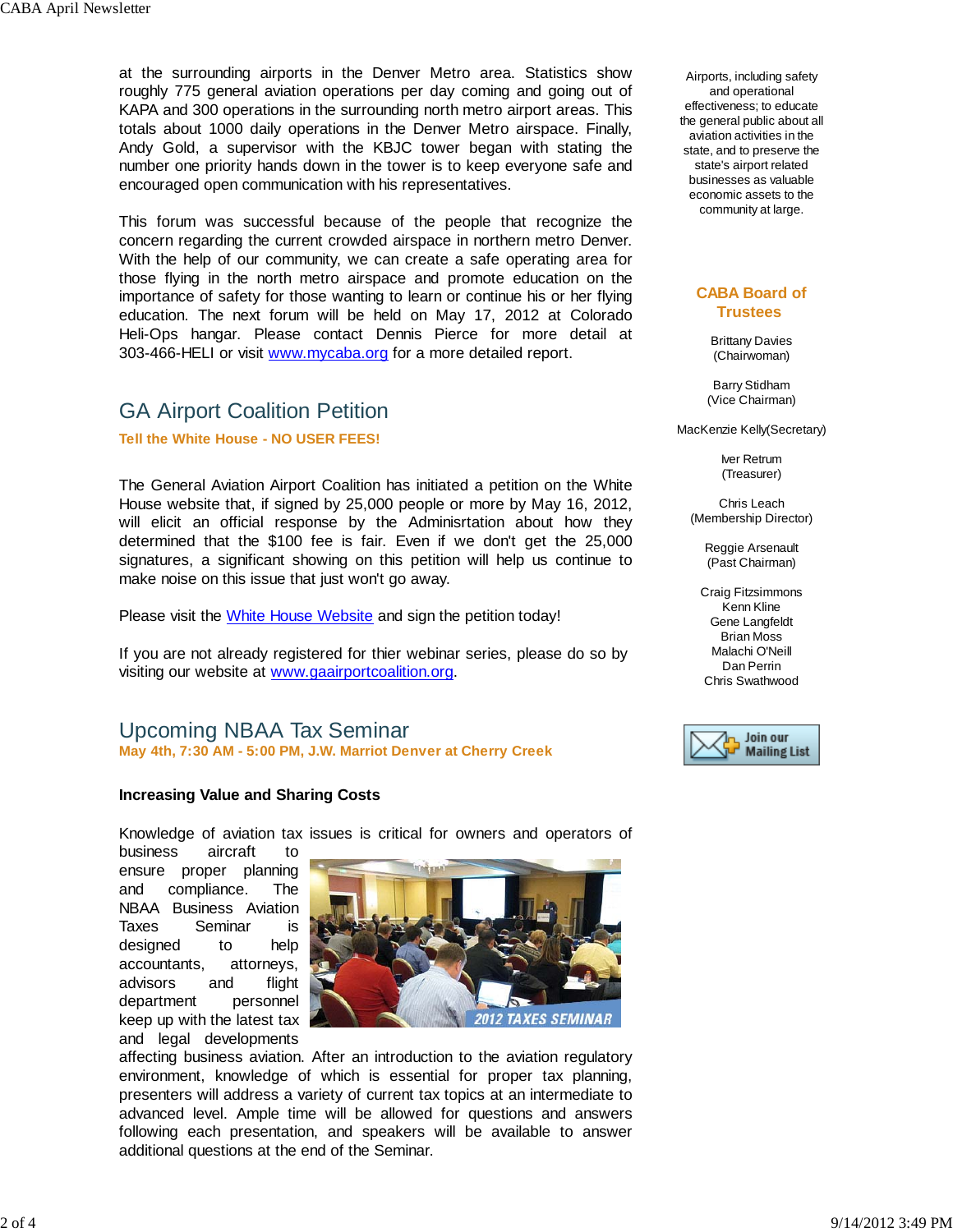at the surrounding airports in the Denver Metro area. Statistics show roughly 775 general aviation operations per day coming and going out of KAPA and 300 operations in the surrounding north metro airport areas. This totals about 1000 daily operations in the Denver Metro airspace. Finally, Andy Gold, a supervisor with the KBJC tower began with stating the number one priority hands down in the tower is to keep everyone safe and encouraged open communication with his representatives.

This forum was successful because of the people that recognize the concern regarding the current crowded airspace in northern metro Denver. With the help of our community, we can create a safe operating area for those flying in the north metro airspace and promote education on the importance of safety for those wanting to learn or continue his or her flying education. The next forum will be held on May 17, 2012 at Colorado Heli-Ops hangar. Please contact Dennis Pierce for more detail at 303-466-HELI or visit www.mycaba.org for a more detailed report.

# GA Airport Coalition Petition

**Tell the White House - NO USER FEES!** 

The General Aviation Airport Coalition has initiated a petition on the White House website that, if signed by 25,000 people or more by May 16, 2012, will elicit an official response by the Adminisrtation about how they determined that the \$100 fee is fair. Even if we don't get the 25,000 signatures, a significant showing on this petition will help us continue to make noise on this issue that just won't go away.

Please visit the White House Website and sign the petition today!

If you are not already registered for thier webinar series, please do so by visiting our website at www.gaairportcoalition.org.

# Upcoming NBAA Tax Seminar

**May 4th, 7:30 AM - 5:00 PM, J.W. Marriot Denver at Cherry Creek**

#### **Increasing Value and Sharing Costs**

Knowledge of aviation tax issues is critical for owners and operators of

business aircraft to ensure proper planning and compliance. The NBAA Business Aviation Taxes Seminar is designed to help accountants, attorneys, advisors and flight department personnel keep up with the latest tax and legal developments



affecting business aviation. After an introduction to the aviation regulatory environment, knowledge of which is essential for proper tax planning, presenters will address a variety of current tax topics at an intermediate to advanced level. Ample time will be allowed for questions and answers following each presentation, and speakers will be available to answer additional questions at the end of the Seminar.

Airports, including safety and operational effectiveness; to educate the general public about all aviation activities in the state, and to preserve the state's airport related businesses as valuable economic assets to the community at large.

#### **CABA Board of Trustees**

Brittany Davies (Chairwoman)

Barry Stidham (Vice Chairman)

MacKenzie Kelly(Secretary)

Iver Retrum (Treasurer)

Chris Leach (Membership Director)

Reggie Arsenault (Past Chairman)

Craig Fitzsimmons Kenn Kline Gene Langfeldt Brian Moss Malachi O'Neill Dan Perrin Chris Swathwood

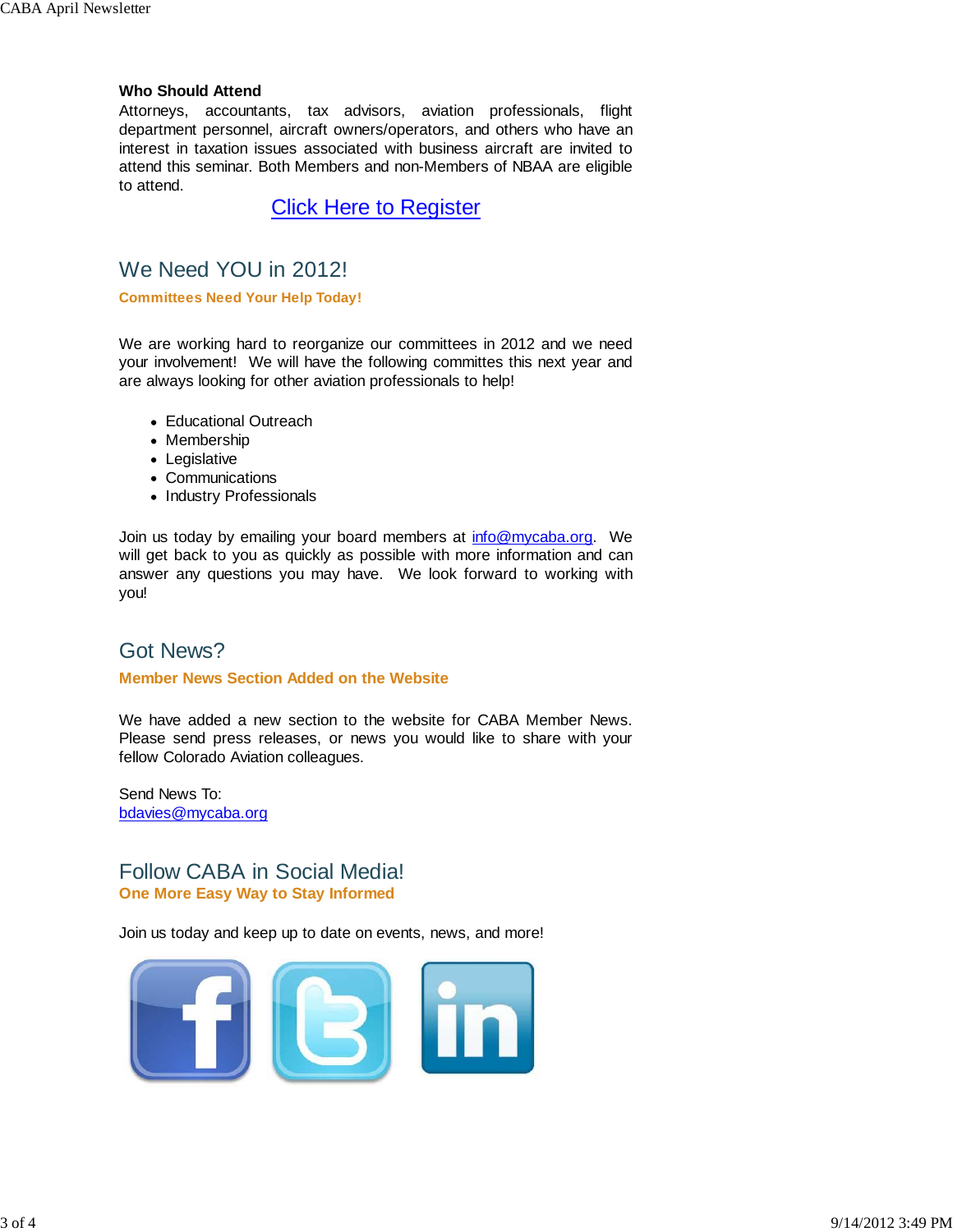#### **Who Should Attend**

Attorneys, accountants, tax advisors, aviation professionals, flight department personnel, aircraft owners/operators, and others who have an interest in taxation issues associated with business aircraft are invited to attend this seminar. Both Members and non-Members of NBAA are eligible to attend.

Click Here to Register

# We Need YOU in 2012!

**Committees Need Your Help Today!** 

We are working hard to reorganize our committees in 2012 and we need your involvement! We will have the following committes this next year and are always looking for other aviation professionals to help!

- Educational Outreach
- Membership
- Legislative
- Communications
- Industry Professionals

Join us today by emailing your board members at info@mycaba.org. We will get back to you as quickly as possible with more information and can answer any questions you may have. We look forward to working with you!

# Got News?

#### **Member News Section Added on the Website**

We have added a new section to the website for CABA Member News. Please send press releases, or news you would like to share with your fellow Colorado Aviation colleagues.

Send News To: bdavies@mycaba.org

# Follow CABA in Social Media! **One More Easy Way to Stay Informed**

Join us today and keep up to date on events, news, and more!